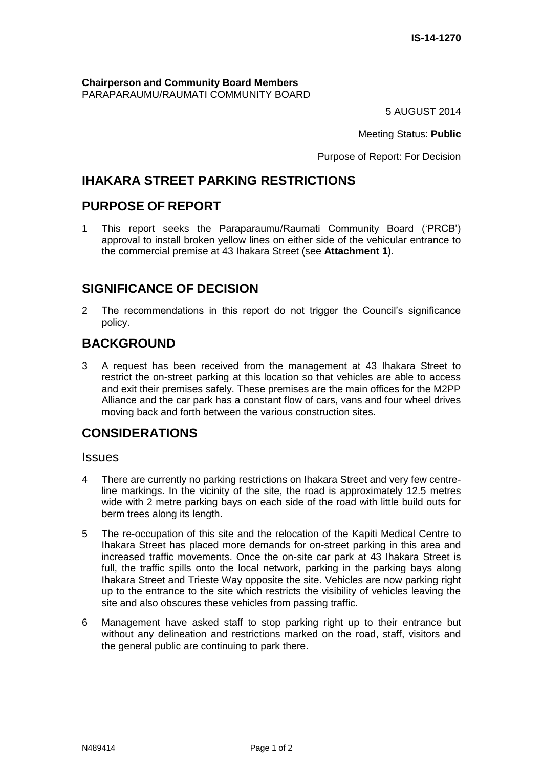**Chairperson and Community Board Members** PARAPARAUMU/RAUMATI COMMUNITY BOARD

5 AUGUST 2014

Meeting Status: **Public**

Purpose of Report: For Decision

# **IHAKARA STREET PARKING RESTRICTIONS**

# **PURPOSE OF REPORT**

1 This report seeks the Paraparaumu/Raumati Community Board ('PRCB') approval to install broken yellow lines on either side of the vehicular entrance to the commercial premise at 43 Ihakara Street (see **Attachment 1**).

# **SIGNIFICANCE OF DECISION**

2 The recommendations in this report do not trigger the Council's significance policy.

# **BACKGROUND**

3 A request has been received from the management at 43 Ihakara Street to restrict the on-street parking at this location so that vehicles are able to access and exit their premises safely. These premises are the main offices for the M2PP Alliance and the car park has a constant flow of cars, vans and four wheel drives moving back and forth between the various construction sites.

# **CONSIDERATIONS**

#### **Issues**

- 4 There are currently no parking restrictions on Ihakara Street and very few centreline markings. In the vicinity of the site, the road is approximately 12.5 metres wide with 2 metre parking bays on each side of the road with little build outs for berm trees along its length.
- 5 The re-occupation of this site and the relocation of the Kapiti Medical Centre to Ihakara Street has placed more demands for on-street parking in this area and increased traffic movements. Once the on-site car park at 43 Ihakara Street is full, the traffic spills onto the local network, parking in the parking bays along Ihakara Street and Trieste Way opposite the site. Vehicles are now parking right up to the entrance to the site which restricts the visibility of vehicles leaving the site and also obscures these vehicles from passing traffic.
- 6 Management have asked staff to stop parking right up to their entrance but without any delineation and restrictions marked on the road, staff, visitors and the general public are continuing to park there.